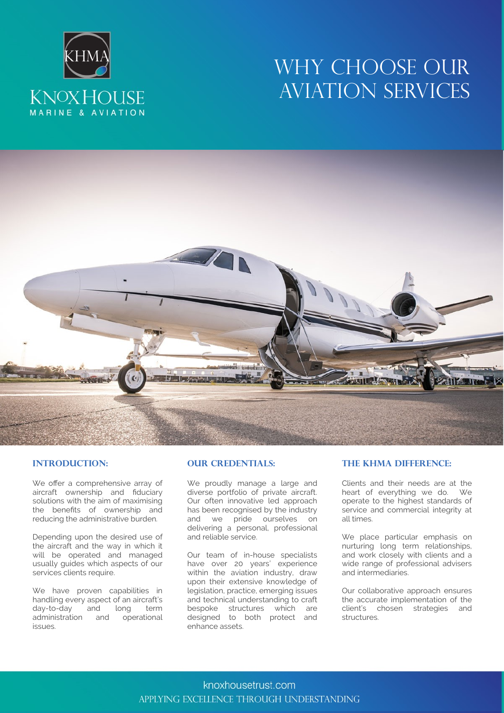# **KNOXHOUSE** MARINE & AVIATION

## WHY CHOOSE OUR AVIATION SERVICES



#### **Introduction:**

We offer a comprehensive array of aircraft ownership and fiduciary solutions with the aim of maximising the benefits of ownership and reducing the administrative burden*.*

Depending upon the desired use of the aircraft and the way in which it will be operated and managed usually guides which aspects of our services clients require.

We have proven capabilities in handling every aspect of an aircraft's day-to-day and long term administration and operational issues.

#### **OUR CREDENTIALS:**

We proudly manage a large and diverse portfolio of private aircraft. Our often innovative led approach has been recognised by the industry and we pride ourselves on delivering a personal, professional and reliable service.

Our team of in-house specialists have over 20 years' experience within the aviation industry, draw upon their extensive knowledge of legislation, practice, emerging issues and technical understanding to craft bespoke structures which are designed to both protect and enhance assets.

#### **The KHMA Difference:**

Clients and their needs are at the heart of everything we do. We operate to the highest standards of service and commercial integrity at all times.

We place particular emphasis on nurturing long term relationships, and work closely with clients and a wide range of professional advisers and intermediaries.

Our collaborative approach ensures the accurate implementation of the client's chosen strategies and structures.